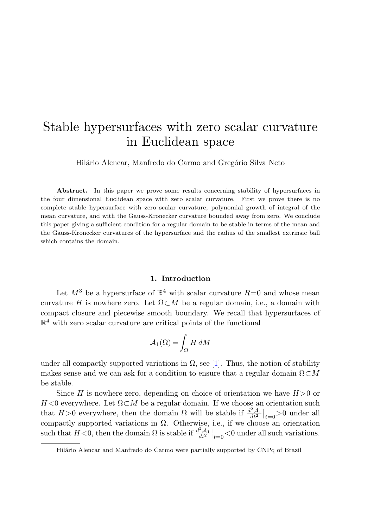## Stable hypersurfaces with zero scalar curvature in Euclidean space

Hilário Alencar, Manfredo do Carmo and Gregório Silva Neto

Abstract. In this paper we prove some results concerning stability of hypersurfaces in the four dimensional Euclidean space with zero scalar curvature. First we prove there is no complete stable hypersurface with zero scalar curvature, polynomial growth of integral of the mean curvature, and with the Gauss-Kronecker curvature bounded away from zero. We conclude this paper giving a sufficient condition for a regular domain to be stable in terms of the mean and the Gauss-Kronecker curvatures of the hypersurface and the radius of the smallest extrinsic ball which contains the domain.

## **1. Introduction**

Let  $M^3$  be a hypersurface of  $\mathbb{R}^4$  with scalar curvature  $R=0$  and whose mean curvature H is nowhere zero. Let  $\Omega \subset M$  be a regular domain, i.e., a domain with compact closure and piecewise smooth boundary. We recall that hypersurfaces of  $\mathbb{R}^4$  with zero scalar curvature are critical points of the functional

$$
\mathcal{A}_1(\Omega) = \int_{\Omega} H \, dM
$$

under all compactly supported variations in  $\Omega$ , see [\[1](#page-7-0)]. Thus, the notion of stability makes sense and we can ask for a condition to ensure that a regular domain  $\Omega \subset M$ be stable.

Since H is nowhere zero, depending on choice of orientation we have  $H > 0$  or  $H < 0$  everywhere. Let  $\Omega \subset M$  be a regular domain. If we choose an orientation such that  $H > 0$  everywhere, then the domain  $\Omega$  will be stable if  $\frac{d^2A_1}{dt^2}\Big|_{t=0} > 0$  under all compactly supported variations in  $\Omega$ . Otherwise, i.e., if we choose an orientation such that  $H < 0$ , then the domain  $\Omega$  is stable if  $\frac{d^2 A_1}{dt^2}\Big|_{t=0} < 0$  under all such variations.

Hilário Alencar and Manfredo do Carmo were partially supported by CNPq of Brazil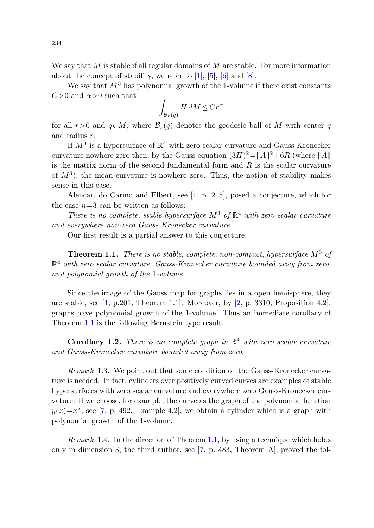We say that  $M$  is stable if all regular domains of  $M$  are stable. For more information about the concept of stability, we refer to [[1\]](#page-7-0), [\[5](#page-7-1)], [[6\]](#page-7-2) and [[8\]](#page-7-3).

We say that  $M^3$  has polynomial growth of the 1-volume if there exist constants  $C>0$  and  $\alpha>0$  such that

$$
\int_{\mathcal{B}_r(q)} H \, dM \le Cr^\alpha
$$

for all r>0 and  $q \in M$ , where  $\mathcal{B}_r(q)$  denotes the geodesic ball of M with center q and radius r.

If  $M^3$  is a hypersurface of  $\mathbb{R}^4$  with zero scalar curvature and Gauss-Kronecker curvature nowhere zero then, by the Gauss equation  $(3H)^2 = ||A||^2 + 6R$  (where  $||A||$ is the matrix norm of the second fundamental form and  $R$  is the scalar curvature of  $M^3$ ), the mean curvature is nowhere zero. Thus, the notion of stability makes sense in this case.

<span id="page-1-0"></span>Alencar, do Carmo and Elbert, see [[1,](#page-7-0) p. 215], posed a conjecture, which for the case  $n=3$  can be written as follows:

There is no complete, stable hypersurface  $M^3$  of  $\mathbb{R}^4$  with zero scalar curvature and everywhere non-zero Gauss Kronecker curvature.

Our first result is a partial answer to this conjecture.

**Theorem 1.1.** There is no stable, complete, non-compact, hypersurface  $M^3$  of  $\mathbb{R}^4$  with zero scalar curvature, Gauss-Kronecker curvature bounded away from zero, and polynomial growth of the 1-volume.

Since the image of the Gauss map for graphs lies in a open hemisphere, they are stable, see  $[1, p.201,$  $[1, p.201,$  $[1, p.201,$  Theorem 1.1. Moreover, by  $[2, p. 3310,$  $[2, p. 3310,$  $[2, p. 3310,$  Proposition 4.2, graphs have polynomial growth of the 1-volume. Thus an immediate corollary of Theorem [1.1](#page-1-0) is the following Bernstein type result.

**Corollary 1.2.** There is no complete graph in  $\mathbb{R}^4$  with zero scalar curvature and Gauss-Kronecker curvature bounded away from zero.

Remark 1.3. We point out that some condition on the Gauss-Kronecker curvature is needed. In fact, cylinders over positively curved curves are examples of stable hypersurfaces with zero scalar curvature and everywhere zero Gauss-Kronecker curvature. If we choose, for example, the curve as the graph of the polynomial function  $y(x)=x^2$ , see [[7,](#page-7-5) p. 492, Example 4.2], we obtain a cylinder which is a graph with polynomial growth of the 1-volume.

*Remark* 1.4. In the direction of Theorem [1.1](#page-1-0), by using a technique which holds only in dimension 3, the third author, see  $[7, p. 483,$  $[7, p. 483,$  $[7, p. 483,$  Theorem A, proved the fol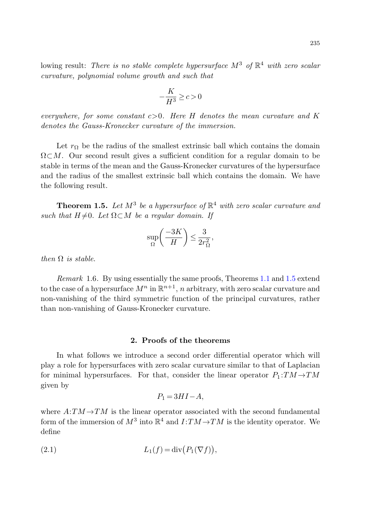lowing result: There is no stable complete hypersurface  $M^3$  of  $\mathbb{R}^4$  with zero scalar curvature, polynomial volume growth and such that

$$
-\frac{K}{H^3} \ge c > 0
$$

everywhere, for some constant  $c > 0$ . Here H denotes the mean curvature and K denotes the Gauss-Kronecker curvature of the immersion.

<span id="page-2-0"></span>Let  $r_{\Omega}$  be the radius of the smallest extrinsic ball which contains the domain  $\Omega \subset M$ . Our second result gives a sufficient condition for a regular domain to be stable in terms of the mean and the Gauss-Kronecker curvatures of the hypersurface and the radius of the smallest extrinsic ball which contains the domain. We have the following result.

**Theorem 1.5.** Let  $M^3$  be a hypersurface of  $\mathbb{R}^4$  with zero scalar curvature and such that  $H \neq 0$ . Let  $\Omega \subset M$  be a regular domain. If

$$
\sup_{\Omega} \left( \frac{-3K}{H} \right) \le \frac{3}{2r_{\Omega}^2},
$$

then  $\Omega$  is stable.

Remark 1.6. By using essentially the same proofs, Theorems [1.1](#page-1-0) and [1.5](#page-2-0) extend to the case of a hypersurface  $M^n$  in  $\mathbb{R}^{n+1}$ , n arbitrary, with zero scalar curvature and non-vanishing of the third symmetric function of the principal curvatures, rather than non-vanishing of Gauss-Kronecker curvature.

## **2. Proofs of the theorems**

In what follows we introduce a second order differential operator which will play a role for hypersurfaces with zero scalar curvature similar to that of Laplacian for minimal hypersurfaces. For that, consider the linear operator  $P_1:TM\to TM$ given by

$$
P_1 = 3HI - A,
$$

where  $A:TM\rightarrow TM$  is the linear operator associated with the second fundamental form of the immersion of  $M^3$  into  $\mathbb{R}^4$  and  $I:TM\to TM$  is the identity operator. We define

$$
(2.1) \t\t\t L_1(f) = \operatorname{div} (P_1(\nabla f)),
$$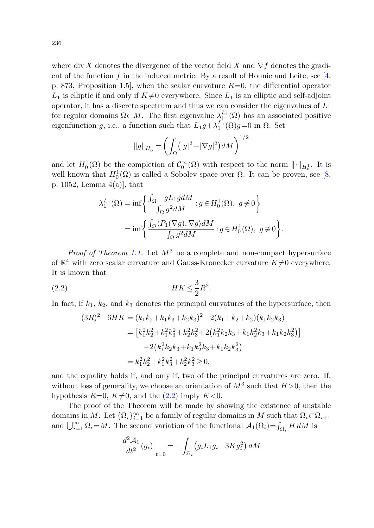where div X denotes the divergence of the vector field X and  $\nabla f$  denotes the gradient of the function f in the induced metric. By a result of Hounie and Leite, see  $[4, 4]$  $[4, 4]$  $[4, 4]$ p. 873, Proposition 1.5, when the scalar curvature  $R=0$ , the differential operator  $L_1$  is elliptic if and only if  $K\neq 0$  everywhere. Since  $L_1$  is an elliptic and self-adjoint operator, it has a discrete spectrum and thus we can consider the eigenvalues of  $L_1$ for regular domains  $\Omega \subset M$ . The first eigenvalue  $\lambda_1^{L_1}(\Omega)$  has an associated positive eigenfunction g, i.e., a function such that  $L_1g + \lambda_1^{L_1}(\Omega)g = 0$  in  $\Omega$ . Set

$$
||g||_{H_0^1} = \left(\int_{\Omega} (|g|^2 + |\nabla g|^2) dM\right)^{1/2}
$$

and let  $H_0^1(\Omega)$  be the completion of  $\mathcal{C}_0^{\infty}(\Omega)$  with respect to the norm  $\|\cdot\|_{H_0^1}$ . It is well known that  $H_0^1(\Omega)$  is called a Sobolev space over  $\Omega$ . It can be proven, see [[8,](#page-7-3) p. 1052, Lemma 4(a)], that

$$
\begin{split} \lambda_1^{L_1}(\Omega) &= \inf\bigg\{\frac{\int_\Omega - g L_1 g dM}{\int_\Omega g^2 dM} : g \in H^1_0(\Omega), \ g \not\equiv 0 \bigg\} \\ &= \inf\bigg\{\frac{\int_\Omega \langle P_1(\nabla g), \nabla g \rangle dM}{\int_\Omega g^2 dM} : g \in H^1_0(\Omega), \ g \not\equiv 0 \bigg\}. \end{split}
$$

<span id="page-3-0"></span>*Proof of Theorem [1.1](#page-1-0).* Let  $M^3$  be a complete and non-compact hypersurface of  $\mathbb{R}^4$  with zero scalar curvature and Gauss-Kronecker curvature  $K\neq 0$  everywhere. It is known that

$$
(2.2) \t\t\t\t HK \leq \frac{3}{2}R^2.
$$

In fact, if  $k_1$ ,  $k_2$ , and  $k_3$  denotes the principal curvatures of the hypersurface, then

$$
(3R)^{2} - 6HK = (k_{1}k_{2} + k_{1}k_{3} + k_{2}k_{3})^{2} - 2(k_{1} + k_{2} + k_{2})(k_{1}k_{2}k_{3})
$$
  
\n
$$
= [k_{1}^{2}k_{2}^{2} + k_{1}^{2}k_{3}^{2} + k_{2}^{2}k_{3}^{2} + 2(k_{1}^{2}k_{2}k_{3} + k_{1}k_{2}^{2}k_{3} + k_{1}k_{2}k_{3}^{2})]
$$
  
\n
$$
- 2(k_{1}^{2}k_{2}k_{3} + k_{1}k_{2}^{2}k_{3} + k_{1}k_{2}k_{3}^{2})
$$
  
\n
$$
= k_{1}^{2}k_{2}^{2} + k_{1}^{2}k_{3}^{2} + k_{2}^{2}k_{3}^{2} \ge 0,
$$

and the equality holds if, and only if, two of the principal curvatures are zero. If, without loss of generality, we choose an orientation of  $M^3$  such that  $H > 0$ , then the hypothesis  $R=0, K\neq 0$ , and the  $(2.2)$  imply  $K<0$ .

The proof of the Theorem will be made by showing the existence of unstable domains in M. Let  $\{\Omega_i\}_{i=1}^{\infty}$  be a family of regular domains in M such that  $\Omega_i \subset \Omega_{i+1}$ and  $\bigcup_{i=1}^{\infty} \Omega_i = M$ . The second variation of the functional  $\mathcal{A}_1(\Omega_i) = \int_{\Omega_i} H dM$  is

$$
\left. \frac{d^2 \mathcal{A}_1}{dt^2} (g_i) \right|_{t=0} = -\int_{\Omega_i} \left( g_i L_1 g_i - 3K g_i^2 \right) dM
$$

236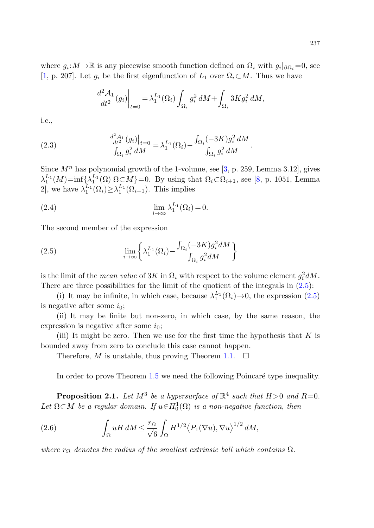where  $g_i : M \to \mathbb{R}$  is any piecewise smooth function defined on  $\Omega_i$  with  $g_i|_{\partial\Omega_i} = 0$ , see [\[1](#page-7-0), p. 207]. Let  $g_i$  be the first eigenfunction of  $L_1$  over  $\Omega_i \subset M$ . Thus we have

$$
\left. \frac{d^2 \mathcal{A}_1}{dt^2} (g_i) \right|_{t=0} = \lambda_1^{L_1} (\Omega_i) \int_{\Omega_i} g_i^2 dM + \int_{\Omega_i} 3K g_i^2 dM,
$$

i.e.,

(2.3) 
$$
\frac{\frac{d^2 A_1}{dt^2} (g_i)|_{t=0}}{\int_{\Omega_i} g_i^2 dM} = \lambda_1^{L_1} (\Omega_i) - \frac{\int_{\Omega_i} (-3K) g_i^2 dM}{\int_{\Omega_i} g_i^2 dM}.
$$

<span id="page-4-0"></span>Since  $M<sup>n</sup>$  has polynomial growth of the 1-volume, see [\[3](#page-7-7), p. 259, Lemma 3.12], gives  $\lambda_1^{L_1}(M)$ =inf $\{\lambda_1^{L_1}(\Omega)|\Omega\subset M\}$ =0. By using that  $\Omega_i\subset\Omega_{i+1}$ , see [\[8](#page-7-3), p. 1051, Lemma 2], we have  $\lambda_1^{L_1}(\Omega_i) \geq \lambda_1^{L_1}(\Omega_{i+1})$ . This implies

$$
\lim_{i \to \infty} \lambda_1^{L_1}(\Omega_i) = 0.
$$

The second member of the expression

(2.5) 
$$
\lim_{i \to \infty} \left\{ \lambda_1^{L_1}(\Omega_i) - \frac{\int_{\Omega_i} (-3K) g_i^2 dM}{\int_{\Omega_i} g_i^2 dM} \right\}
$$

is the limit of the *mean value* of  $3K$  in  $\Omega_i$  with respect to the volume element  $g_i^2 dM$ . There are three possibilities for the limit of the quotient of the integrals in  $(2.5)$  $(2.5)$ :

(i) It may be infinite, in which case, because  $\lambda_1^{L_1}(\Omega_i) \rightarrow 0$ , the expression ([2.5\)](#page-4-0) is negative after some  $i_0$ ;

(ii) It may be finite but non-zero, in which case, by the same reason, the expression is negative after some  $i_0$ ;

<span id="page-4-2"></span><span id="page-4-1"></span>(iii) It might be zero. Then we use for the first time the hypothesis that  $K$  is bounded away from zero to conclude this case cannot happen.

Therefore, M is unstable, thus proving Theorem [1.1.](#page-1-0)  $\Box$ 

In order to prove Theorem [1.5](#page-2-0) we need the following Poincaré type inequality.

**Proposition 2.1.** Let  $M^3$  be a hypersurface of  $\mathbb{R}^4$  such that  $H > 0$  and  $R = 0$ . Let  $\Omega \subset M$  be a regular domain. If  $u \in H_0^1(\Omega)$  is a non-negative function, then

(2.6) 
$$
\int_{\Omega} uH \, dM \leq \frac{r_{\Omega}}{\sqrt{6}} \int_{\Omega} H^{1/2} \langle P_1(\nabla u), \nabla u \rangle^{1/2} \, dM,
$$

where  $r_{\Omega}$  denotes the radius of the smallest extrinsic ball which contains  $\Omega$ .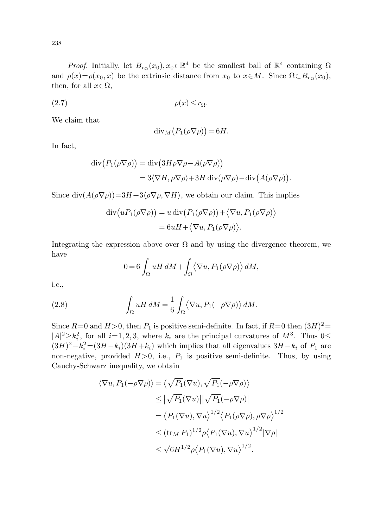<span id="page-5-1"></span>*Proof.* Initially, let  $B_{r\Omega}(x_0), x_0 \in \mathbb{R}^4$  be the smallest ball of  $\mathbb{R}^4$  containing  $\Omega$ and  $\rho(x) = \rho(x_0, x)$  be the extrinsic distance from  $x_0$  to  $x \in M$ . Since  $\Omega \subset B_{r_0}(x_0)$ , then, for all  $x \in \Omega$ ,

$$
(2.7) \t\t \rho(x) \le r_{\Omega}.
$$

We claim that

$$
\mathrm{div}_M(P_1(\rho \nabla \rho)) = 6H.
$$

In fact,

$$
\operatorname{div}(P_1(\rho \nabla \rho)) = \operatorname{div}(3H\rho \nabla \rho - A(\rho \nabla \rho))
$$
  
= 3\langle \nabla H, \rho \nabla \rho \rangle + 3H \operatorname{div}(\rho \nabla \rho) - \operatorname{div}(A(\rho \nabla \rho)).

Since  $\text{div}(A(\rho \nabla \rho)) = 3H + 3\langle \rho \nabla \rho, \nabla H \rangle$ , we obtain our claim. This implies

$$
\operatorname{div}(uP_1(\rho \nabla \rho)) = u \operatorname{div}(P_1(\rho \nabla \rho)) + \langle \nabla u, P_1(\rho \nabla \rho) \rangle
$$
  
= 6uH + \langle \nabla u, P\_1(\rho \nabla \rho) \rangle.

<span id="page-5-0"></span>Integrating the expression above over  $\Omega$  and by using the divergence theorem, we have

$$
0 = 6 \int_{\Omega} uH \, dM + \int_{\Omega} \langle \nabla u, P_1(\rho \nabla \rho) \rangle \, dM,
$$

i.e.,

(2.8) 
$$
\int_{\Omega} uH \, dM = \frac{1}{6} \int_{\Omega} \langle \nabla u, P_1(-\rho \nabla \rho) \rangle \, dM.
$$

Since  $R=0$  and  $H>0$ , then  $P_1$  is positive semi-definite. In fact, if  $R=0$  then  $(3H)^2$  $|A|^2 \geq k_i^2$ , for all  $i=1, 2, 3$ , where  $k_i$  are the principal curvatures of  $M^3$ . Thus  $0 \leq$  $(3H)^2 - k_i^2 = (3H - k_i)(3H + k_i)$  which implies that all eigenvalues  $3H - k_i$  of  $P_1$  are non-negative, provided  $H > 0$ , i.e.,  $P_1$  is positive semi-definite. Thus, by using Cauchy-Schwarz inequality, we obtain

$$
\langle \nabla u, P_1(-\rho \nabla \rho) \rangle = \langle \sqrt{P_1} (\nabla u), \sqrt{P_1} (-\rho \nabla \rho) \rangle
$$
  
\n
$$
\leq |\sqrt{P_1} (\nabla u) | |\sqrt{P_1} (-\rho \nabla \rho) |
$$
  
\n
$$
= \langle P_1(\nabla u), \nabla u \rangle^{1/2} \langle P_1(\rho \nabla \rho), \rho \nabla \rho \rangle^{1/2}
$$
  
\n
$$
\leq (\text{tr}_M P_1)^{1/2} \rho \langle P_1(\nabla u), \nabla u \rangle^{1/2} |\nabla \rho|
$$
  
\n
$$
\leq \sqrt{6} H^{1/2} \rho \langle P_1(\nabla u), \nabla u \rangle^{1/2}.
$$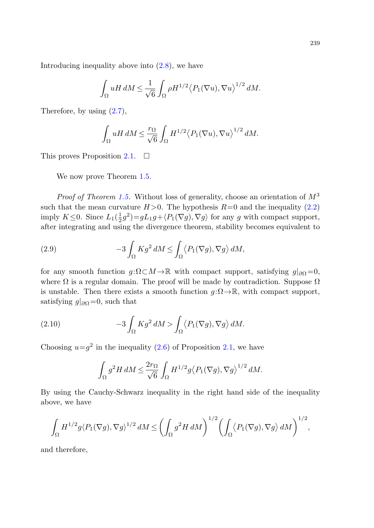Introducing inequality above into ([2.8\)](#page-5-0), we have

$$
\int_{\Omega} uH \, dM \leq \frac{1}{\sqrt{6}} \int_{\Omega} \rho H^{1/2} \langle P_1(\nabla u), \nabla u \rangle^{1/2} \, dM.
$$

Therefore, by using [\(2.7\)](#page-5-1),

$$
\int_{\Omega}uH\,dM\leq \frac{r_{\Omega}}{\sqrt{6}}\int_{\Omega}H^{1/2}\big\langle P_1(\nabla u),\nabla u\big\rangle^{1/2}\,dM.
$$

This proves Proposition [2.1](#page-4-1).  $\Box$ 

We now prove Theorem [1.5](#page-2-0).

*Proof of Theorem [1.5](#page-2-0).* Without loss of generality, choose an orientation of  $M^3$ such that the mean curvature  $H > 0$ . The hypothesis  $R=0$  and the inequality ([2.2\)](#page-3-0) imply  $K \leq 0$ . Since  $L_1(\frac{1}{2}g^2) = gL_1g + \langle P_1(\nabla g), \nabla g \rangle$  for any g with compact support, after integrating and using the divergence theorem, stability becomes equivalent to

<span id="page-6-0"></span>(2.9) 
$$
-3\int_{\Omega} K g^2 dM \leq \int_{\Omega} \langle P_1(\nabla g), \nabla g \rangle dM,
$$

for any smooth function  $q: \Omega \subset M \to \mathbb{R}$  with compact support, satisfying  $q|_{\partial\Omega} = 0$ , where  $\Omega$  is a regular domain. The proof will be made by contradiction. Suppose  $\Omega$ is unstable. Then there exists a smooth function  $g:\Omega\to\mathbb{R}$ , with compact support, satisfying  $g|_{\partial\Omega} = 0$ , such that

(2.10) 
$$
-3\int_{\Omega} K g^2 dM > \int_{\Omega} \langle P_1(\nabla g), \nabla g \rangle dM.
$$

Choosing  $u=q^2$  in the inequality  $(2.6)$  $(2.6)$  of Proposition [2.1](#page-4-1), we have

$$
\int_{\Omega} g^2 H \, dM \leq \frac{2r_{\Omega}}{\sqrt{6}} \int_{\Omega} H^{1/2} g \big\langle P_1(\nabla g), \nabla g \big\rangle^{1/2} \, dM.
$$

By using the Cauchy-Schwarz inequality in the right hand side of the inequality above, we have

$$
\int_{\Omega} H^{1/2} g \langle P_1(\nabla g), \nabla g \rangle^{1/2} dM \le \left( \int_{\Omega} g^2 H dM \right)^{1/2} \left( \int_{\Omega} \langle P_1(\nabla g), \nabla g \rangle dM \right)^{1/2},
$$

and therefore,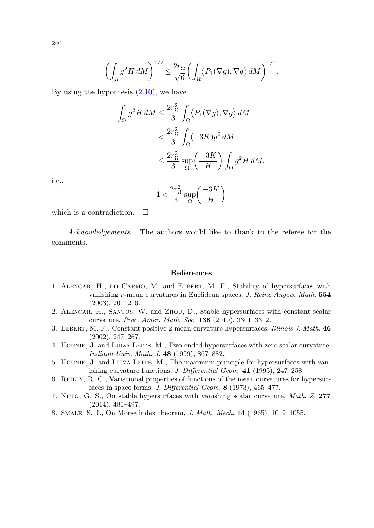$$
\left(\int_{\Omega} g^2 H \, dM\right)^{1/2} \leq \frac{2r_{\Omega}}{\sqrt{6}} \left(\int_{\Omega} \left\langle P_1(\nabla g), \nabla g \right\rangle dM\right)^{1/2}.
$$

By using the hypothesis  $(2.10)$  $(2.10)$ , we have

$$
\int_{\Omega} g^2 H dM \leq \frac{2r_{\Omega}^2}{3} \int_{\Omega} \langle P_1(\nabla g), \nabla g \rangle dM
$$
  

$$
< \frac{2r_{\Omega}^2}{3} \int_{\Omega} (-3K)g^2 dM
$$
  

$$
\leq \frac{2r_{\Omega}^2}{3} \sup_{\Omega} \left( \frac{-3K}{H} \right) \int_{\Omega} g^2 H dM,
$$

i.e.,

$$
1 < \frac{2r_{\Omega}^2}{3} \sup_{\Omega} \left( \frac{-3K}{H} \right)
$$

<span id="page-7-0"></span>which is a contradiction.  $\Box$ 

<span id="page-7-7"></span><span id="page-7-4"></span>Acknowledgements. The authors would like to thank to the referee for the comments.

## **References**

- <span id="page-7-6"></span><span id="page-7-1"></span>1. Alencar, H., do Carmo, M. and Elbert, M. F., Stability of hypersurfaces with vanishing r-mean curvatures in Euclidean spaces, J. Reine Angew. Math. **554** (2003), 201–216.
- <span id="page-7-2"></span>2. Alencar, H., Santos, W. and Zhou, D., Stable hypersurfaces with constant scalar curvature, Proc. Amer. Math. Soc. **138** (2010), 3301–3312.
- <span id="page-7-5"></span>3. Elbert, M. F., Constant positive 2-mean curvature hypersurfaces, Illinois J. Math. **46** (2002), 247–267.
- <span id="page-7-3"></span>4. Hounie, J. and Luiza Leite, M., Two-ended hypersurfaces with zero scalar curvature, Indiana Univ. Math. J. **48** (1999), 867–882.
- 5. Hounie, J. and Luiza Leite, M., The maximum principle for hypersurfaces with vanishing curvature functions, J. Differential Geom. **41** (1995), 247–258.
- 6. Reilly, R. C., Variational properties of functions of the mean curvatures for hypersurfaces in space forms, J. Differential Geom. **8** (1973), 465–477.
- 7. Neto, G. S., On stable hypersurfaces with vanishing scalar curvature, Math. Z. **277** (2014), 481–497.
- 8. Smale, S. J., On Morse index theorem, J. Math. Mech. **14** (1965), 1049–1055.

240